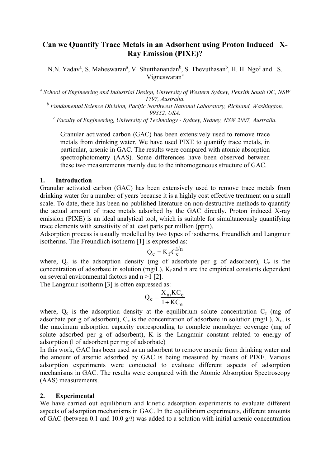# **Can we Quantify Trace Metals in an Adsorbent using Proton Induced X-Ray Emission (PIXE)?**

N.N. Yadav<sup>a</sup>, S. Maheswaran<sup>a</sup>, V. Shutthanandan<sup>b</sup>, S. Thevuthasan<sup>b</sup>, H. H. Ngo<sup>c</sup> and S. Vigneswaran<sup>c</sup>

<sup>a</sup> School of Engineering and Industrial Design, University of Western Sydney, Penrith South DC, NSW *1797, Australia.* 

<sup>*b*</sup> Fundamental Science Division, Pacific Northwest National Laboratory, Richland, Washington, *99352, USA. <sup>c</sup> Faculty of Engineering, University of Technology - Sydney, Sydney, NSW 2007, Australia.* 

Granular activated carbon (GAC) has been extensively used to remove trace metals from drinking water. We have used PIXE to quantify trace metals, in particular, arsenic in GAC. The results were compared with atomic absorption spectrophotometry (AAS). Some differences have been observed between these two measurements mainly due to the inhomogeneous structure of GAC.

### **1. Introduction**

Granular activated carbon (GAC) has been extensively used to remove trace metals from drinking water for a number of years because it is a highly cost effective treatment on a small scale. To date, there has been no published literature on non-destructive methods to quantify the actual amount of trace metals adsorbed by the GAC directly. Proton induced X-ray emission (PIXE) is an ideal analytical tool, which is suitable for simultaneously quantifying trace elements with sensitivity of at least parts per million (ppm).

Adsorption process is usually modelled by two types of isotherms, Freundlich and Langmuir isotherms. The Freundlich isotherm [1] is expressed as:

$$
Q_e = K_f C_e^{1/n}
$$

where,  $Q_e$  is the adsorption density (mg of adsorbate per g of adsorbent),  $C_e$  is the concentration of adsorbate in solution (mg/L),  $K_f$  and n are the empirical constants dependent on several environmental factors and n >1 [2].

The Langmuir isotherm [3] is often expressed as:

$$
Q_e = \frac{X_m KC_e}{1 + KC_e}
$$

where,  $Q_e$  is the adsorption density at the equilibrium solute concentration  $C_e$  (mg of adsorbate per g of adsorbent),  $C_e$  is the concentration of adsorbate in solution (mg/L),  $X_m$  is the maximum adsorption capacity corresponding to complete monolayer coverage (mg of solute adsorbed per g of adsorbent), K is the Langmuir constant related to energy of adsorption (l of adsorbent per mg of adsorbate)

In this work, GAC has been used as an adsorbent to remove arsenic from drinking water and the amount of arsenic adsorbed by GAC is being measured by means of PIXE. Various adsorption experiments were conducted to evaluate different aspects of adsorption mechanisms in GAC. The results were compared with the Atomic Absorption Spectroscopy (AAS) measurements.

#### **2. Experimental**

We have carried out equilibrium and kinetic adsorption experiments to evaluate different aspects of adsorption mechanisms in GAC. In the equilibrium experiments, different amounts of GAC (between 0.1 and 10.0 g/*l*) was added to a solution with initial arsenic concentration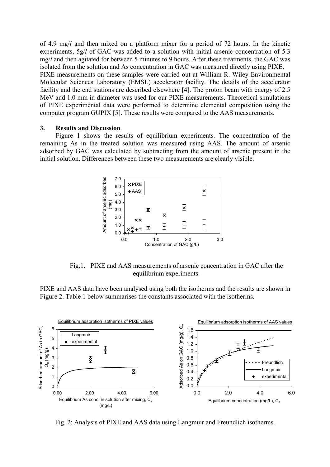of 4.9 mg/*l* and then mixed on a platform mixer for a period of 72 hours. In the kinetic experiments, 5g/*l* of GAC was added to a solution with initial arsenic concentration of 5.3 mg/*l* and then agitated for between 5 minutes to 9 hours. After these treatments, the GAC was isolated from the solution and As concentration in GAC was measured directly using PIXE. PIXE measurements on these samples were carried out at William R. Wiley Environmental Molecular Sciences Laboratory (EMSL) accelerator facility. The details of the accelerator facility and the end stations are described elsewhere [4]. The proton beam with energy of 2.5 MeV and 1.0 mm in diameter was used for our PIXE measurements. Theoretical simulations of PIXE experimental data were performed to determine elemental composition using the computer program GUPIX [5]. These results were compared to the AAS measurements.

#### **3. Results and Discussion**

Figure 1 shows the results of equilibrium experiments. The concentration of the remaining As in the treated solution was measured using AAS. The amount of arsenic adsorbed by GAC was calculated by subtracting from the amount of arsenic present in the initial solution. Differences between these two measurements are clearly visible.



Fig.1. PIXE and AAS measurements of arsenic concentration in GAC after the equilibrium experiments.

PIXE and AAS data have been analysed using both the isotherms and the results are shown in Figure 2. Table 1 below summarises the constants associated with the isotherms.



Fig. 2: Analysis of PIXE and AAS data using Langmuir and Freundlich isotherms.